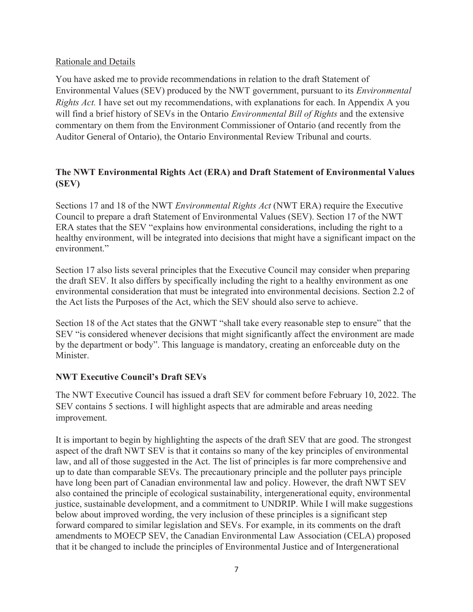## Rationale and Details

You have asked me to provide recommendations in relation to the draft Statement of Environmental Values (SEV) produced by the NWT government, pursuant to its *Environmental Rights Act.* I have set out my recommendations, with explanations for each. In Appendix A you will find a brief history of SEVs in the Ontario *Environmental Bill of Rights* and the extensive commentary on them from the Environment Commissioner of Ontario (and recently from the Auditor General of Ontario), the Ontario Environmental Review Tribunal and courts.

# **The NWT Environmental Rights Act (ERA) and Draft Statement of Environmental Values (SEV)**

Sections 17 and 18 of the NWT *Environmental Rights Act* (NWT ERA) require the Executive Council to prepare a draft Statement of Environmental Values (SEV). Section 17 of the NWT ERA states that the SEV "explains how environmental considerations, including the right to a healthy environment, will be integrated into decisions that might have a significant impact on the environment."

Section 17 also lists several principles that the Executive Council may consider when preparing the draft SEV. It also differs by specifically including the right to a healthy environment as one environmental consideration that must be integrated into environmental decisions. Section 2.2 of the Act lists the Purposes of the Act, which the SEV should also serve to achieve.

Section 18 of the Act states that the GNWT "shall take every reasonable step to ensure" that the SEV "is considered whenever decisions that might significantly affect the environment are made by the department or body". This language is mandatory, creating an enforceable duty on the Minister.

# **NWT Executive Council's Draft SEVs**

The NWT Executive Council has issued a draft SEV for comment before February 10, 2022. The SEV contains 5 sections. I will highlight aspects that are admirable and areas needing improvement.

It is important to begin by highlighting the aspects of the draft SEV that are good. The strongest aspect of the draft NWT SEV is that it contains so many of the key principles of environmental law, and all of those suggested in the Act. The list of principles is far more comprehensive and up to date than comparable SEVs. The precautionary principle and the polluter pays principle have long been part of Canadian environmental law and policy. However, the draft NWT SEV also contained the principle of ecological sustainability, intergenerational equity, environmental justice, sustainable development, and a commitment to UNDRIP. While I will make suggestions below about improved wording, the very inclusion of these principles is a significant step forward compared to similar legislation and SEVs. For example, in its comments on the draft amendments to MOECP SEV, the Canadian Environmental Law Association (CELA) proposed that it be changed to include the principles of Environmental Justice and of Intergenerational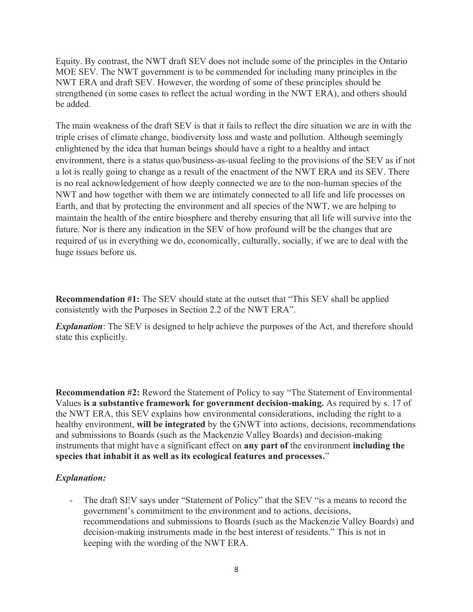Equity. By contrast, the NWT draft SEV does not include some of the principles in the Ontario MOE SEV. The NWT government is to be commended for including many principles in the NWT ERA and draft SEV. However, the wording of some of these principles should be strengthened (in some cases to reflect the actual wording in the NWT ERA), and others should be added.

The main weakness of the draft SEV is that it fails to reflect the dire situation we are in with the triple crises of climate change, biodiversity loss and waste and pollution. Although seemingly enlightened by the idea that human beings should have a right to a healthy and intact environment, there is a status quo/business-as-usual feeling to the provisions of the SEV as if not a lot is really going to change as a result of the enactment of the NWT ERA and its SEV. There is no real acknowledgement of how deeply connected we are to the non-human species of the NWT and how together with them we are intimately connected to all life and life processes on Earth, and that by protecting the environment and all species of the NWT, we are helping to maintain the health of the entire biosphere and thereby ensuring that all life will survive into the future. Nor is there any indication in the SEV of how profound will be the changes that are required of us in everything we do, economically, culturally, socially, if we are to deal with the huge issues before us.

**Recommendation #1:** The SEV should state at the outset that "This SEV shall be applied consistently with the Purposes in Section 2.2 of the NWT ERA".

**Explanation**: The SEV is designed to help achieve the purposes of the Act, and therefore should state this explicitly.

**Recommendation #2:** Reword the Statement of Policy to say "The Statement of Environmental Values **is a substantive framework for government decision-making.** As required by s. 17 of the NWT ERA, this SEV explains how environmental considerations, including the right to a healthy environment, **will be integrated** by the GNWT into actions, decisions, recommendations and submissions to Boards (such as the Mackenzie Valley Boards) and decision-making instruments that might have a significant effect on **any part of** the environment **including the species that inhabit it as well as its ecological features and processes.**"

#### *Explanation:*

The draft SEV says under "Statement of Policy" that the SEV "is a means to record the government's commitment to the environment and to actions, decisions, recommendations and submissions to Boards (such as the Mackenzie Valley Boards) and decision-making instruments made in the best interest of residents." This is not in keeping with the wording of the NWT ERA.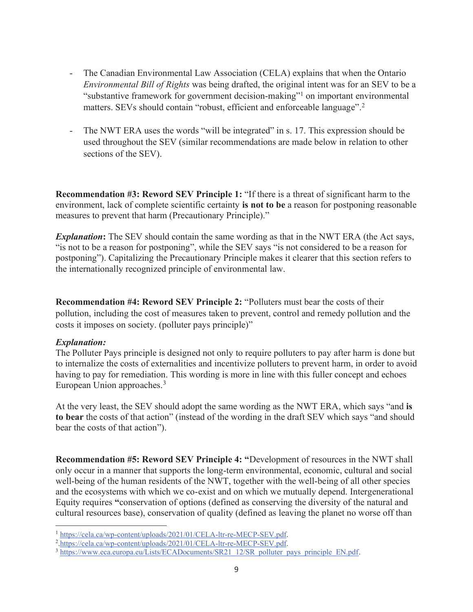- The Canadian Environmental Law Association (CELA) explains that when the Ontario *Environmental Bill of Rights* was being drafted, the original intent was for an SEV to be a "substantive framework for government decision-making"<sup>1</sup> on important environmental matters. SEVs should contain "robust, efficient and enforceable language".<sup>2</sup>
- The NWT ERA uses the words "will be integrated" in s. 17. This expression should be used throughout the SEV (similar recommendations are made below in relation to other sections of the SEV).

**Recommendation #3: Reword SEV Principle 1:** "If there is a threat of significant harm to the environment, lack of complete scientific certainty **is not to be** a reason for postponing reasonable measures to prevent that harm (Precautionary Principle)."

*Explanation***:** The SEV should contain the same wording as that in the NWT ERA (the Act says, "is not to be a reason for postponing", while the SEV says "is not considered to be a reason for postponing"). Capitalizing the Precautionary Principle makes it clearer that this section refers to the internationally recognized principle of environmental law.

**Recommendation #4: Reword SEV Principle 2:** "Polluters must bear the costs of their pollution, including the cost of measures taken to prevent, control and remedy pollution and the costs it imposes on society. (polluter pays principle)"

#### *Explanation:*

The Polluter Pays principle is designed not only to require polluters to pay after harm is done but to internalize the costs of externalities and incentivize polluters to prevent harm, in order to avoid having to pay for remediation. This wording is more in line with this fuller concept and echoes European Union approaches.<sup>3</sup>

At the very least, the SEV should adopt the same wording as the NWT ERA, which says "and **is to bear** the costs of that action" (instead of the wording in the draft SEV which says "and should bear the costs of that action").

**Recommendation #5: Reword SEV Principle 4: "**Development of resources in the NWT shall only occur in a manner that supports the long-term environmental, economic, cultural and social well-being of the human residents of the NWT, together with the well-being of all other species and the ecosystems with which we co-exist and on which we mutually depend. Intergenerational Equity requires **"**conservation of options (defined as conserving the diversity of the natural and cultural resources base), conservation of quality (defined as leaving the planet no worse off than

<sup>&</sup>lt;sup>1</sup> https://cela.ca/wp-content/uploads/2021/01/CELA-ltr-re-MECP-SEV.pdf.<br><sup>2</sup> https://cela.ca/wp-content/uploads/2021/01/CELA-ltr-re-MECP-SEV.pdf.

<sup>&</sup>lt;sup>3</sup> https://www.eca.europa.eu/Lists/ECADocuments/SR21\_12/SR\_polluter\_pays\_principle\_EN.pdf.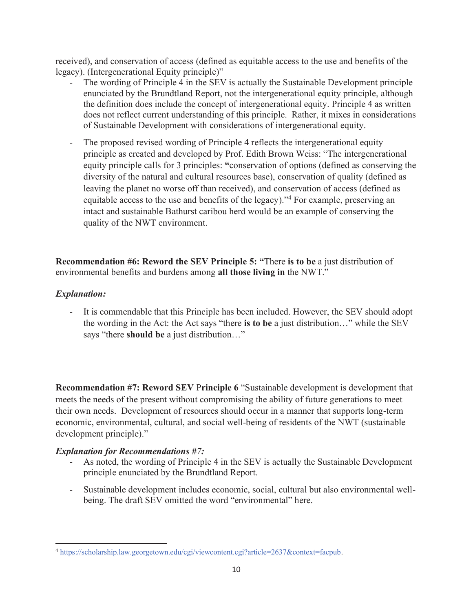received), and conservation of access (defined as equitable access to the use and benefits of the legacy). (Intergenerational Equity principle)"

- The wording of Principle 4 in the SEV is actually the Sustainable Development principle enunciated by the Brundtland Report, not the intergenerational equity principle, although the definition does include the concept of intergenerational equity. Principle 4 as written does not reflect current understanding of this principle. Rather, it mixes in considerations of Sustainable Development with considerations of intergenerational equity.
- The proposed revised wording of Principle 4 reflects the intergenerational equity principle as created and developed by Prof. Edith Brown Weiss: "The intergenerational equity principle calls for 3 principles: **"**conservation of options (defined as conserving the diversity of the natural and cultural resources base), conservation of quality (defined as leaving the planet no worse off than received), and conservation of access (defined as equitable access to the use and benefits of the legacy)."4 For example, preserving an intact and sustainable Bathurst caribou herd would be an example of conserving the quality of the NWT environment.

**Recommendation #6: Reword the SEV Principle 5: "**There **is to be** a just distribution of environmental benefits and burdens among **all those living in** the NWT."

## *Explanation:*

- It is commendable that this Principle has been included. However, the SEV should adopt the wording in the Act: the Act says "there **is to be** a just distribution…" while the SEV says "there **should be** a just distribution…"

**Recommendation #7: Reword SEV** P**rinciple 6** "Sustainable development is development that meets the needs of the present without compromising the ability of future generations to meet their own needs. Development of resources should occur in a manner that supports long-term economic, environmental, cultural, and social well-being of residents of the NWT (sustainable development principle)."

# *Explanation for Recommendations #7:*

- As noted, the wording of Principle 4 in the SEV is actually the Sustainable Development principle enunciated by the Brundtland Report.
- Sustainable development includes economic, social, cultural but also environmental wellbeing. The draft SEV omitted the word "environmental" here.

<sup>4</sup> https://scholarship.law.georgetown.edu/cgi/viewcontent.cgi?article=2637&context=facpub.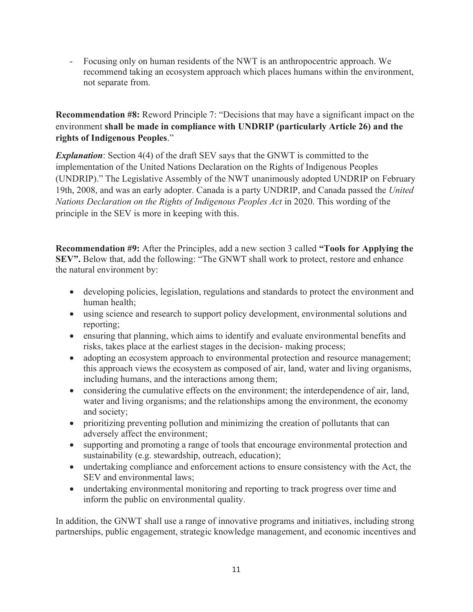- Focusing only on human residents of the NWT is an anthropocentric approach. We recommend taking an ecosystem approach which places humans within the environment, not separate from.

**Recommendation #8:** Reword Principle 7: "Decisions that may have a significant impact on the environment **shall be made in compliance with UNDRIP (particularly Article 26) and the rights of Indigenous Peoples**."

*Explanation*: Section 4(4) of the draft SEV says that the GNWT is committed to the implementation of the United Nations Declaration on the Rights of Indigenous Peoples (UNDRIP)." The Legislative Assembly of the NWT unanimously adopted UNDRIP on February 19th, 2008, and was an early adopter. Canada is a party UNDRIP, and Canada passed the *United Nations Declaration on the Rights of Indigenous Peoples Act* in 2020. This wording of the principle in the SEV is more in keeping with this.

**Recommendation #9:** After the Principles, add a new section 3 called **"Tools for Applying the SEV".** Below that, add the following: "The GNWT shall work to protect, restore and enhance the natural environment by:

- developing policies, legislation, regulations and standards to protect the environment and human health;
- using science and research to support policy development, environmental solutions and reporting;
- ensuring that planning, which aims to identify and evaluate environmental benefits and risks, takes place at the earliest stages in the decision- making process;
- adopting an ecosystem approach to environmental protection and resource management; this approach views the ecosystem as composed of air, land, water and living organisms, including humans, and the interactions among them;
- $\bullet$  considering the cumulative effects on the environment; the interdependence of air, land, water and living organisms; and the relationships among the environment, the economy and society;
- prioritizing preventing pollution and minimizing the creation of pollutants that can adversely affect the environment;
- supporting and promoting a range of tools that encourage environmental protection and sustainability (e.g. stewardship, outreach, education);
- $\bullet$  undertaking compliance and enforcement actions to ensure consistency with the Act, the SEV and environmental laws;
- undertaking environmental monitoring and reporting to track progress over time and inform the public on environmental quality.

In addition, the GNWT shall use a range of innovative programs and initiatives, including strong partnerships, public engagement, strategic knowledge management, and economic incentives and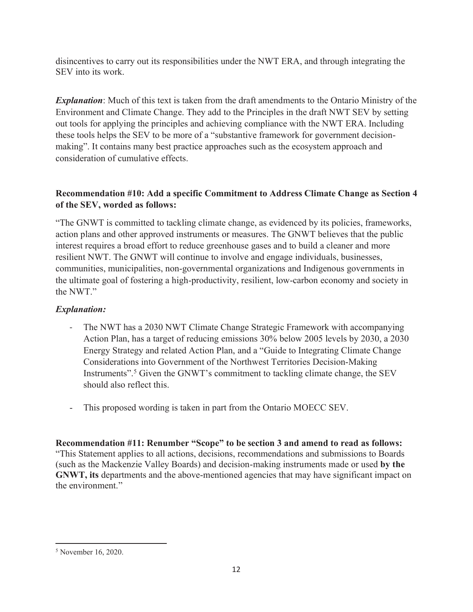disincentives to carry out its responsibilities under the NWT ERA, and through integrating the SEV into its work.

*Explanation*: Much of this text is taken from the draft amendments to the Ontario Ministry of the Environment and Climate Change. They add to the Principles in the draft NWT SEV by setting out tools for applying the principles and achieving compliance with the NWT ERA. Including these tools helps the SEV to be more of a "substantive framework for government decisionmaking". It contains many best practice approaches such as the ecosystem approach and consideration of cumulative effects.

## **Recommendation #10: Add a specific Commitment to Address Climate Change as Section 4 of the SEV, worded as follows:**

"The GNWT is committed to tackling climate change, as evidenced by its policies, frameworks, action plans and other approved instruments or measures. The GNWT believes that the public interest requires a broad effort to reduce greenhouse gases and to build a cleaner and more resilient NWT. The GNWT will continue to involve and engage individuals, businesses, communities, municipalities, non-governmental organizations and Indigenous governments in the ultimate goal of fostering a high-productivity, resilient, low-carbon economy and society in the NWT."

## *Explanation:*

- The NWT has a 2030 NWT Climate Change Strategic Framework with accompanying Action Plan, has a target of reducing emissions 30% below 2005 levels by 2030, a 2030 Energy Strategy and related Action Plan, and a "Guide to Integrating Climate Change Considerations into Government of the Northwest Territories Decision‐Making Instruments". <sup>5</sup> Given the GNWT's commitment to tackling climate change, the SEV should also reflect this.
- This proposed wording is taken in part from the Ontario MOECC SEV.

**Recommendation #11: Renumber "Scope" to be section 3 and amend to read as follows:**  "This Statement applies to all actions, decisions, recommendations and submissions to Boards (such as the Mackenzie Valley Boards) and decision-making instruments made or used **by the GNWT, its** departments and the above-mentioned agencies that may have significant impact on the environment."

<sup>5</sup> November 16, 2020.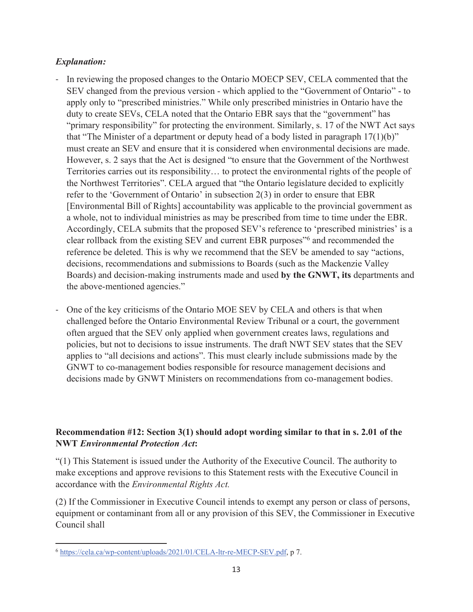#### *Explanation:*

- In reviewing the proposed changes to the Ontario MOECP SEV, CELA commented that the SEV changed from the previous version - which applied to the "Government of Ontario" - to apply only to "prescribed ministries." While only prescribed ministries in Ontario have the duty to create SEVs, CELA noted that the Ontario EBR says that the "government" has "primary responsibility" for protecting the environment. Similarly, s. 17 of the NWT Act says that "The Minister of a department or deputy head of a body listed in paragraph  $17(1)(b)$ " must create an SEV and ensure that it is considered when environmental decisions are made. However, s. 2 says that the Act is designed "to ensure that the Government of the Northwest Territories carries out its responsibility… to protect the environmental rights of the people of the Northwest Territories". CELA argued that "the Ontario legislature decided to explicitly refer to the 'Government of Ontario' in subsection 2(3) in order to ensure that EBR [Environmental Bill of Rights] accountability was applicable to the provincial government as a whole, not to individual ministries as may be prescribed from time to time under the EBR. Accordingly, CELA submits that the proposed SEV's reference to 'prescribed ministries' is a clear rollback from the existing SEV and current EBR purposes"6 and recommended the reference be deleted. This is why we recommend that the SEV be amended to say "actions, decisions, recommendations and submissions to Boards (such as the Mackenzie Valley Boards) and decision-making instruments made and used **by the GNWT, its** departments and the above-mentioned agencies."
- One of the key criticisms of the Ontario MOE SEV by CELA and others is that when challenged before the Ontario Environmental Review Tribunal or a court, the government often argued that the SEV only applied when government creates laws, regulations and policies, but not to decisions to issue instruments. The draft NWT SEV states that the SEV applies to "all decisions and actions". This must clearly include submissions made by the GNWT to co-management bodies responsible for resource management decisions and decisions made by GNWT Ministers on recommendations from co-management bodies.

## **Recommendation #12: Section 3(1) should adopt wording similar to that in s. 2.01 of the NWT** *Environmental Protection Act***:**

"(1) This Statement is issued under the Authority of the Executive Council. The authority to make exceptions and approve revisions to this Statement rests with the Executive Council in accordance with the *Environmental Rights Act.* 

(2) If the Commissioner in Executive Council intends to exempt any person or class of persons, equipment or contaminant from all or any provision of this SEV, the Commissioner in Executive Council shall

<sup>6</sup> https://cela.ca/wp-content/uploads/2021/01/CELA-ltr-re-MECP-SEV.pdf, p 7.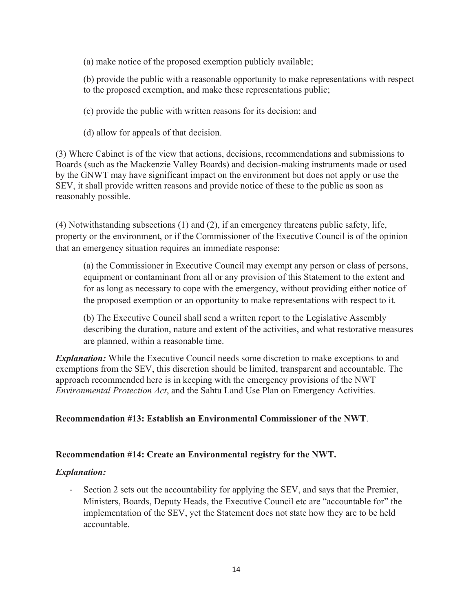(a) make notice of the proposed exemption publicly available;

(b) provide the public with a reasonable opportunity to make representations with respect to the proposed exemption, and make these representations public;

- (c) provide the public with written reasons for its decision; and
- (d) allow for appeals of that decision.

(3) Where Cabinet is of the view that actions, decisions, recommendations and submissions to Boards (such as the Mackenzie Valley Boards) and decision-making instruments made or used by the GNWT may have significant impact on the environment but does not apply or use the SEV, it shall provide written reasons and provide notice of these to the public as soon as reasonably possible.

(4) Notwithstanding subsections (1) and (2), if an emergency threatens public safety, life, property or the environment, or if the Commissioner of the Executive Council is of the opinion that an emergency situation requires an immediate response:

(a) the Commissioner in Executive Council may exempt any person or class of persons, equipment or contaminant from all or any provision of this Statement to the extent and for as long as necessary to cope with the emergency, without providing either notice of the proposed exemption or an opportunity to make representations with respect to it.

(b) The Executive Council shall send a written report to the Legislative Assembly describing the duration, nature and extent of the activities, and what restorative measures are planned, within a reasonable time.

*Explanation:* While the Executive Council needs some discretion to make exceptions to and exemptions from the SEV, this discretion should be limited, transparent and accountable. The approach recommended here is in keeping with the emergency provisions of the NWT *Environmental Protection Act*, and the Sahtu Land Use Plan on Emergency Activities.

## **Recommendation #13: Establish an Environmental Commissioner of the NWT**.

## **Recommendation #14: Create an Environmental registry for the NWT.**

## *Explanation:*

Section 2 sets out the accountability for applying the SEV, and says that the Premier, Ministers, Boards, Deputy Heads, the Executive Council etc are "accountable for" the implementation of the SEV, yet the Statement does not state how they are to be held accountable.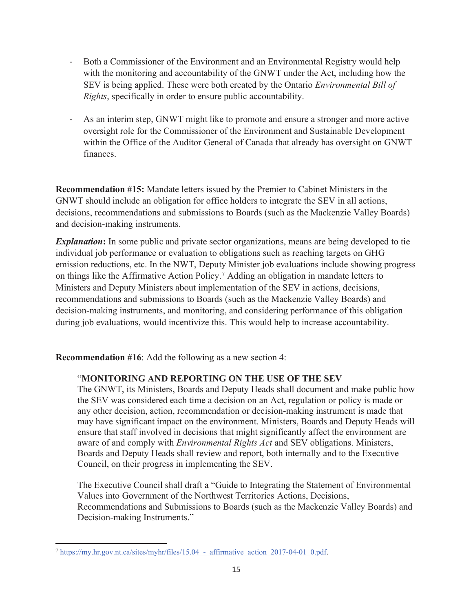- Both a Commissioner of the Environment and an Environmental Registry would help with the monitoring and accountability of the GNWT under the Act, including how the SEV is being applied. These were both created by the Ontario *Environmental Bill of Rights*, specifically in order to ensure public accountability.
- As an interim step, GNWT might like to promote and ensure a stronger and more active oversight role for the Commissioner of the Environment and Sustainable Development within the Office of the Auditor General of Canada that already has oversight on GNWT finances.

**Recommendation #15:** Mandate letters issued by the Premier to Cabinet Ministers in the GNWT should include an obligation for office holders to integrate the SEV in all actions, decisions, recommendations and submissions to Boards (such as the Mackenzie Valley Boards) and decision-making instruments.

**Explanation:** In some public and private sector organizations, means are being developed to tie individual job performance or evaluation to obligations such as reaching targets on GHG emission reductions, etc. In the NWT, Deputy Minister job evaluations include showing progress on things like the Affirmative Action Policy.7 Adding an obligation in mandate letters to Ministers and Deputy Ministers about implementation of the SEV in actions, decisions, recommendations and submissions to Boards (such as the Mackenzie Valley Boards) and decision-making instruments, and monitoring, and considering performance of this obligation during job evaluations, would incentivize this. This would help to increase accountability.

**Recommendation #16**: Add the following as a new section 4:

## "**MONITORING AND REPORTING ON THE USE OF THE SEV**

The GNWT, its Ministers, Boards and Deputy Heads shall document and make public how the SEV was considered each time a decision on an Act, regulation or policy is made or any other decision, action, recommendation or decision-making instrument is made that may have significant impact on the environment. Ministers, Boards and Deputy Heads will ensure that staff involved in decisions that might significantly affect the environment are aware of and comply with *Environmental Rights Act* and SEV obligations. Ministers, Boards and Deputy Heads shall review and report, both internally and to the Executive Council, on their progress in implementing the SEV.

The Executive Council shall draft a "Guide to Integrating the Statement of Environmental Values into Government of the Northwest Territories Actions, Decisions, Recommendations and Submissions to Boards (such as the Mackenzie Valley Boards) and Decision-making Instruments."

 $^7$  https://my.hr.gov.nt.ca/sites/myhr/files/15.04 - affirmative action 2017-04-01 0.pdf.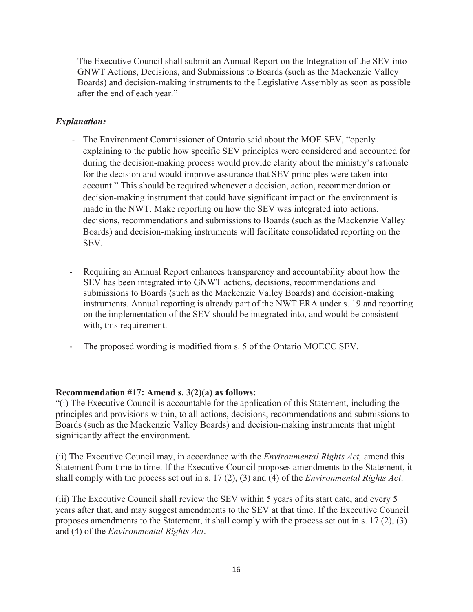The Executive Council shall submit an Annual Report on the Integration of the SEV into GNWT Actions, Decisions, and Submissions to Boards (such as the Mackenzie Valley Boards) and decision-making instruments to the Legislative Assembly as soon as possible after the end of each year."

## *Explanation:*

- The Environment Commissioner of Ontario said about the MOE SEV, "openly explaining to the public how specific SEV principles were considered and accounted for during the decision-making process would provide clarity about the ministry's rationale for the decision and would improve assurance that SEV principles were taken into account." This should be required whenever a decision, action, recommendation or decision-making instrument that could have significant impact on the environment is made in the NWT. Make reporting on how the SEV was integrated into actions, decisions, recommendations and submissions to Boards (such as the Mackenzie Valley Boards) and decision-making instruments will facilitate consolidated reporting on the SEV.
- Requiring an Annual Report enhances transparency and accountability about how the SEV has been integrated into GNWT actions, decisions, recommendations and submissions to Boards (such as the Mackenzie Valley Boards) and decision-making instruments. Annual reporting is already part of the NWT ERA under s. 19 and reporting on the implementation of the SEV should be integrated into, and would be consistent with, this requirement.
- The proposed wording is modified from s. 5 of the Ontario MOECC SEV.

## **Recommendation #17: Amend s. 3(2)(a) as follows:**

"(i) The Executive Council is accountable for the application of this Statement, including the principles and provisions within, to all actions, decisions, recommendations and submissions to Boards (such as the Mackenzie Valley Boards) and decision-making instruments that might significantly affect the environment.

(ii) The Executive Council may, in accordance with the *Environmental Rights Act,* amend this Statement from time to time. If the Executive Council proposes amendments to the Statement, it shall comply with the process set out in s. 17 (2), (3) and (4) of the *Environmental Rights Act*.

(iii) The Executive Council shall review the SEV within 5 years of its start date, and every 5 years after that, and may suggest amendments to the SEV at that time. If the Executive Council proposes amendments to the Statement, it shall comply with the process set out in s. 17 (2), (3) and (4) of the *Environmental Rights Act*.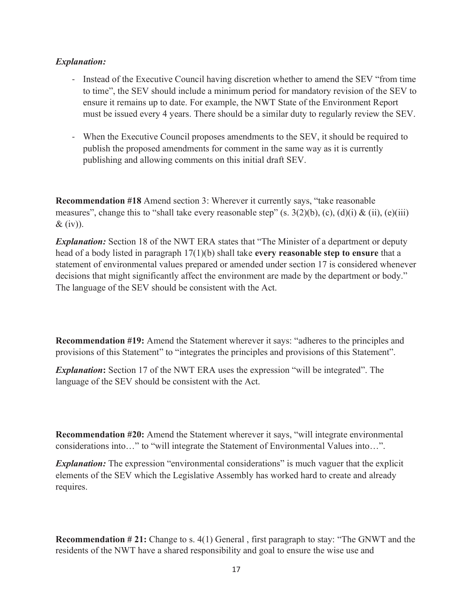#### *Explanation:*

- Instead of the Executive Council having discretion whether to amend the SEV "from time to time", the SEV should include a minimum period for mandatory revision of the SEV to ensure it remains up to date. For example, the NWT State of the Environment Report must be issued every 4 years. There should be a similar duty to regularly review the SEV.
- When the Executive Council proposes amendments to the SEV, it should be required to publish the proposed amendments for comment in the same way as it is currently publishing and allowing comments on this initial draft SEV.

**Recommendation #18** Amend section 3: Wherever it currently says, "take reasonable" measures", change this to "shall take every reasonable step"  $(s. 3(2)(b), (c), (d)(i) \& (ii), (e)(iii)$  $&$  (iv)).

*Explanation:* Section 18 of the NWT ERA states that "The Minister of a department or deputy head of a body listed in paragraph 17(1)(b) shall take **every reasonable step to ensure** that a statement of environmental values prepared or amended under section 17 is considered whenever decisions that might significantly affect the environment are made by the department or body." The language of the SEV should be consistent with the Act.

**Recommendation #19:** Amend the Statement wherever it says: "adheres to the principles and provisions of this Statement" to "integrates the principles and provisions of this Statement".

*Explanation*: Section 17 of the NWT ERA uses the expression "will be integrated". The language of the SEV should be consistent with the Act.

**Recommendation #20:** Amend the Statement wherever it says, "will integrate environmental considerations into…" to "will integrate the Statement of Environmental Values into…".

*Explanation:* The expression "environmental considerations" is much vaguer that the explicit elements of the SEV which the Legislative Assembly has worked hard to create and already requires.

**Recommendation #21:** Change to s. 4(1) General, first paragraph to stay: "The GNWT and the residents of the NWT have a shared responsibility and goal to ensure the wise use and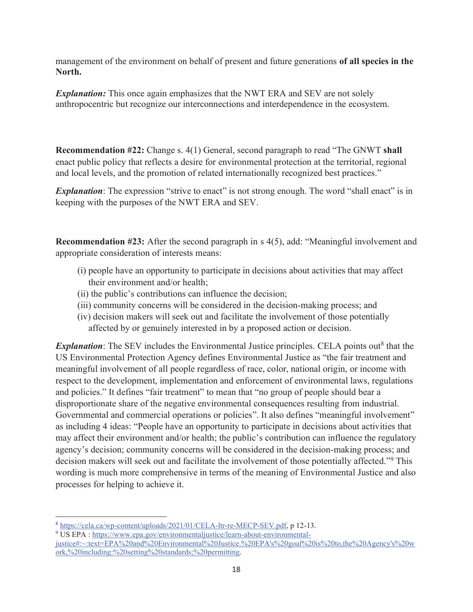management of the environment on behalf of present and future generations **of all species in the North.** 

*Explanation:* This once again emphasizes that the NWT ERA and SEV are not solely anthropocentric but recognize our interconnections and interdependence in the ecosystem.

**Recommendation #22:** Change s. 4(1) General, second paragraph to read "The GNWT **shall** enact public policy that reflects a desire for environmental protection at the territorial, regional and local levels, and the promotion of related internationally recognized best practices."

*Explanation*: The expression "strive to enact" is not strong enough. The word "shall enact" is in keeping with the purposes of the NWT ERA and SEV.

**Recommendation #23:** After the second paragraph in s 4(5), add: "Meaningful involvement and appropriate consideration of interests means:

- (i) people have an opportunity to participate in decisions about activities that may affect their environment and/or health;
- (ii) the public's contributions can influence the decision;
- (iii) community concerns will be considered in the decision-making process; and
- (iv) decision makers will seek out and facilitate the involvement of those potentially affected by or genuinely interested in by a proposed action or decision.

**Explanation**: The SEV includes the Environmental Justice principles. CELA points out<sup>8</sup> that the US Environmental Protection Agency defines Environmental Justice as "the fair treatment and meaningful involvement of all people regardless of race, color, national origin, or income with respect to the development, implementation and enforcement of environmental laws, regulations and policies." It defines "fair treatment" to mean that "no group of people should bear a disproportionate share of the negative environmental consequences resulting from industrial. Governmental and commercial operations or policies". It also defines "meaningful involvement" as including 4 ideas: "People have an opportunity to participate in decisions about activities that may affect their environment and/or health; the public's contribution can influence the regulatory agency's decision; community concerns will be considered in the decision-making process; and decision makers will seek out and facilitate the involvement of those potentially affected."9 This wording is much more comprehensive in terms of the meaning of Environmental Justice and also processes for helping to achieve it.

<sup>8</sup> https://cela.ca/wp-content/uploads/2021/01/CELA-ltr-re-MECP-SEV.pdf, p 12-13. 9

US EPA : https://www.epa.gov/environmentaljustice/learn-about-environmental-

justice#:~:text=EPA%20and%20Environmental%20Justice.%20EPA's%20goal%20is%20to,the%20Agency's%20w ork,%20including:%20setting%20standards;%20permitting.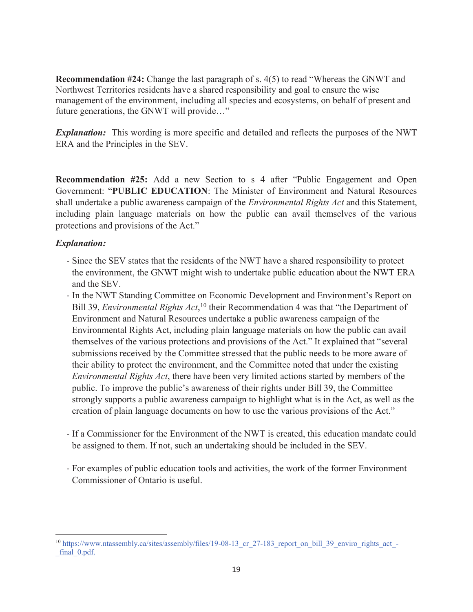**Recommendation #24:** Change the last paragraph of s. 4(5) to read "Whereas the GNWT and Northwest Territories residents have a shared responsibility and goal to ensure the wise management of the environment, including all species and ecosystems, on behalf of present and future generations, the GNWT will provide…"

*Explanation:* This wording is more specific and detailed and reflects the purposes of the NWT ERA and the Principles in the SEV.

**Recommendation #25:** Add a new Section to s 4 after "Public Engagement and Open Government: "**PUBLIC EDUCATION**: The Minister of Environment and Natural Resources shall undertake a public awareness campaign of the *Environmental Rights Act* and this Statement, including plain language materials on how the public can avail themselves of the various protections and provisions of the Act."

## *Explanation:*

- Since the SEV states that the residents of the NWT have a shared responsibility to protect the environment, the GNWT might wish to undertake public education about the NWT ERA and the SEV.
- In the NWT Standing Committee on Economic Development and Environment's Report on Bill 39, *Environmental Rights Act*,<sup>10</sup> their Recommendation 4 was that "the Department of Environment and Natural Resources undertake a public awareness campaign of the Environmental Rights Act, including plain language materials on how the public can avail themselves of the various protections and provisions of the Act." It explained that "several submissions received by the Committee stressed that the public needs to be more aware of their ability to protect the environment, and the Committee noted that under the existing *Environmental Rights Act*, there have been very limited actions started by members of the public. To improve the public's awareness of their rights under Bill 39, the Committee strongly supports a public awareness campaign to highlight what is in the Act, as well as the creation of plain language documents on how to use the various provisions of the Act."
- If a Commissioner for the Environment of the NWT is created, this education mandate could be assigned to them. If not, such an undertaking should be included in the SEV.
- For examples of public education tools and activities, the work of the former Environment Commissioner of Ontario is useful.

<sup>&</sup>lt;sup>10</sup> https://www.ntassembly.ca/sites/assembly/files/19-08-13 cr\_27-183 report\_on\_bill\_39\_enviro\_rights\_act\_final 0.pdf.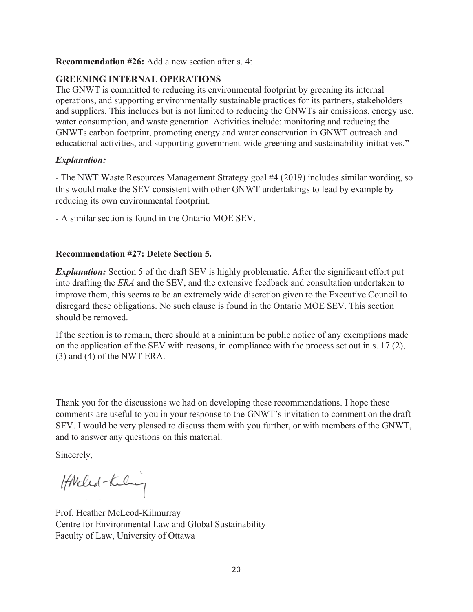#### **Recommendation #26:** Add a new section after s. 4:

#### **GREENING INTERNAL OPERATIONS**

The GNWT is committed to reducing its environmental footprint by greening its internal operations, and supporting environmentally sustainable practices for its partners, stakeholders and suppliers. This includes but is not limited to reducing the GNWTs air emissions, energy use, water consumption, and waste generation. Activities include: monitoring and reducing the GNWTs carbon footprint, promoting energy and water conservation in GNWT outreach and educational activities, and supporting government-wide greening and sustainability initiatives."

#### *Explanation:*

- The NWT Waste Resources Management Strategy goal #4 (2019) includes similar wording, so this would make the SEV consistent with other GNWT undertakings to lead by example by reducing its own environmental footprint.

- A similar section is found in the Ontario MOE SEV.

#### **Recommendation #27: Delete Section 5.**

*Explanation:* Section 5 of the draft SEV is highly problematic. After the significant effort put into drafting the *ERA* and the SEV, and the extensive feedback and consultation undertaken to improve them, this seems to be an extremely wide discretion given to the Executive Council to disregard these obligations. No such clause is found in the Ontario MOE SEV. This section should be removed.

If the section is to remain, there should at a minimum be public notice of any exemptions made on the application of the SEV with reasons, in compliance with the process set out in s. 17 (2), (3) and (4) of the NWT ERA.

Thank you for the discussions we had on developing these recommendations. I hope these comments are useful to you in your response to the GNWT's invitation to comment on the draft SEV. I would be very pleased to discuss them with you further, or with members of the GNWT, and to answer any questions on this material.

Sincerely,

HANched-Kiling

Prof. Heather McLeod-Kilmurray Centre for Environmental Law and Global Sustainability Faculty of Law, University of Ottawa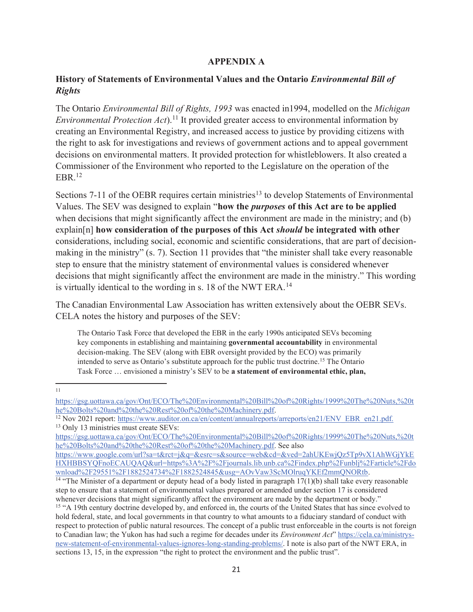## **APPENDIX A**

## **History of Statements of Environmental Values and the Ontario** *Environmental Bill of Rights*

The Ontario *Environmental Bill of Rights, 1993* was enacted in1994, modelled on the *Michigan Environmental Protection Act*).<sup>11</sup> It provided greater access to environmental information by creating an Environmental Registry, and increased access to justice by providing citizens with the right to ask for investigations and reviews of government actions and to appeal government decisions on environmental matters. It provided protection for whistleblowers. It also created a Commissioner of the Environment who reported to the Legislature on the operation of the  $EBR<sup>12</sup>$ 

Sections 7-11 of the OEBR requires certain ministries<sup>13</sup> to develop Statements of Environmental Values. The SEV was designed to explain "**how the** *purposes* **of this Act are to be applied** when decisions that might significantly affect the environment are made in the ministry; and (b) explain[n] **how consideration of the purposes of this Act** *should* **be integrated with other** considerations, including social, economic and scientific considerations, that are part of decisionmaking in the ministry" (s. 7). Section 11 provides that "the minister shall take every reasonable step to ensure that the ministry statement of environmental values is considered whenever decisions that might significantly affect the environment are made in the ministry." This wording is virtually identical to the wording in s. 18 of the NWT ERA.<sup>14</sup>

The Canadian Environmental Law Association has written extensively about the OEBR SEVs. CELA notes the history and purposes of the SEV:

The Ontario Task Force that developed the EBR in the early 1990s anticipated SEVs becoming key components in establishing and maintaining **governmental accountability** in environmental decision-making. The SEV (along with EBR oversight provided by the ECO) was primarily intended to serve as Ontario's substitute approach for the public trust doctrine.15 The Ontario Task Force … envisioned a ministry's SEV to be **a statement of environmental ethic, plan,** 

11

<sup>14</sup> "The Minister of a department or deputy head of a body listed in paragraph 17(1)(b) shall take every reasonable step to ensure that a statement of environmental values prepared or amended under section 17 is considered whenever decisions that might significantly affect the environment are made by the department or body."

https://gsg.uottawa.ca/gov/Ont/ECO/The%20Environmental%20Bill%20of%20Rights/1999%20The%20Nuts,%20t he%20Bolts%20and%20the%20Rest%20of%20the%20Machinery.pdf.<br><sup>12</sup> Nov 2021 report: https://www.auditor.on.ca/en/content/annualreports/arreports/en21/ENV\_EBR\_en21.pdf.

<sup>&</sup>lt;sup>13</sup> Only 13 ministries must create SEVs:

https://gsg.uottawa.ca/gov/Ont/ECO/The%20Environmental%20Bill%20of%20Rights/1999%20The%20Nuts,%20t he%20Bolts%20and%20the%20Rest%20of%20the%20Machinery.pdf. See also

https://www.google.com/url?sa=t&rct=j&q=&esrc=s&source=web&cd=&ved=2ahUKEwjQz5Tp9vX1AhWGjYkE HXHBBSYQFnoECAUQAQ&url=https%3A%2F%2Fjournals.lib.unb.ca%2Findex.php%2Funblj%2Farticle%2Fdo<br>wnload%2F29551%2F1882524734%2F1882524845&usg=AOvVaw3ScMOlruqYKEf2mmQNORtb.

<sup>&</sup>lt;sup>15</sup> "A 19th century doctrine developed by, and enforced in, the courts of the United States that has since evolved to hold federal, state, and local governments in that country to what amounts to a fiduciary standard of conduct with respect to protection of public natural resources. The concept of a public trust enforceable in the courts is not foreign to Canadian law; the Yukon has had such a regime for decades under its *Environment Act*" https://cela.ca/ministrysnew-statement-of-environmental-values-ignores-long-standing-problems/. I note is also part of the NWT ERA, in sections 13, 15, in the expression "the right to protect the environment and the public trust".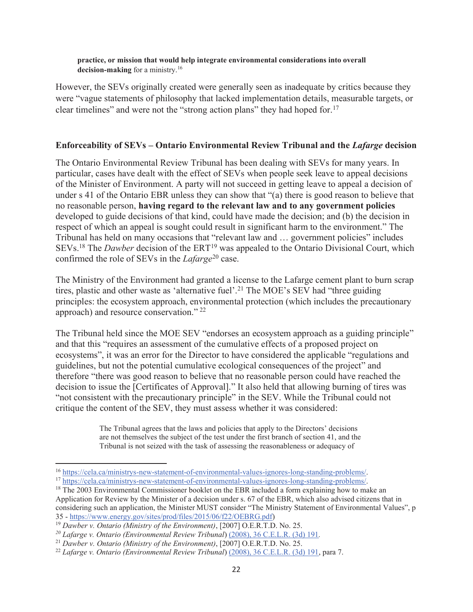**practice, or mission that would help integrate environmental considerations into overall decision-making** for a ministry.16

However, the SEVs originally created were generally seen as inadequate by critics because they were "vague statements of philosophy that lacked implementation details, measurable targets, or clear timelines" and were not the "strong action plans" they had hoped for.17

#### **Enforceability of SEVs – Ontario Environmental Review Tribunal and the** *Lafarge* **decision**

The Ontario Environmental Review Tribunal has been dealing with SEVs for many years. In particular, cases have dealt with the effect of SEVs when people seek leave to appeal decisions of the Minister of Environment. A party will not succeed in getting leave to appeal a decision of under s 41 of the Ontario EBR unless they can show that "(a) there is good reason to believe that no reasonable person, **having regard to the relevant law and to any government policies**  developed to guide decisions of that kind, could have made the decision; and (b) the decision in respect of which an appeal is sought could result in significant harm to the environment." The Tribunal has held on many occasions that "relevant law and … government policies" includes SEVs.<sup>18</sup> The *Dawber* decision of the ERT<sup>19</sup> was appealed to the Ontario Divisional Court, which confirmed the role of SEVs in the *Lafarge*<sup>20</sup> case.

The Ministry of the Environment had granted a license to the Lafarge cement plant to burn scrap tires, plastic and other waste as 'alternative fuel'. <sup>21</sup> The MOE's SEV had "three guiding principles: the ecosystem approach, environmental protection (which includes the precautionary approach) and resource conservation." 22

The Tribunal held since the MOE SEV "endorses an ecosystem approach as a guiding principle" and that this "requires an assessment of the cumulative effects of a proposed project on ecosystems", it was an error for the Director to have considered the applicable "regulations and guidelines, but not the potential cumulative ecological consequences of the project" and therefore "there was good reason to believe that no reasonable person could have reached the decision to issue the [Certificates of Approval]." It also held that allowing burning of tires was "not consistent with the precautionary principle" in the SEV. While the Tribunal could not critique the content of the SEV, they must assess whether it was considered:

> The Tribunal agrees that the laws and policies that apply to the Directors' decisions are not themselves the subject of the test under the first branch of section 41, and the Tribunal is not seized with the task of assessing the reasonableness or adequacy of

<sup>&</sup>lt;sup>16</sup> https://cela.ca/ministrys-new-statement-of-environmental-values-ignores-long-standing-problems/.<br><sup>17</sup> https://cela.ca/ministrys-new-statement-of-environmental-values-ignores-long-standing-problems/.<br><sup>18</sup> The 2003 Envi

Application for Review by the Minister of a decision under s. 67 of the EBR, which also advised citizens that in considering such an application, the Minister MUST consider "The Ministry Statement of Environmental Values", p 35 - https://www.energy.gov/sites/prod/files/2015/06/f22/OEBRG.pdf) 19 *Dawber v. Ontario (Ministry of the Environment)*, [2007] O.E.R.T.D. No. 25.

*<sup>20</sup> Lafarge v. Ontario (Environmental Review Tribunal*) (2008), 36 C.E.L.R. (3d) 191*.* 

<sup>&</sup>lt;sup>21</sup> *Dawber v. Ontario (Ministry of the Environment)*, [2007] O.E.R.T.D. No. 25.<br><sup>22</sup> *Lafarge v. Ontario (Environmental Review Tribunal*) <u>(2008), 36 C.E.L.R. (3d) 191</u>, para 7.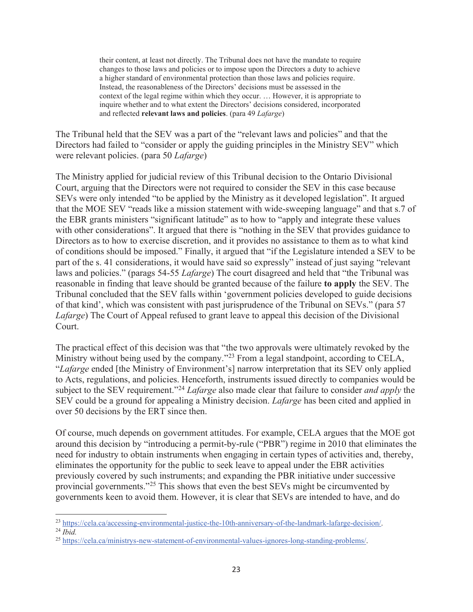their content, at least not directly. The Tribunal does not have the mandate to require changes to those laws and policies or to impose upon the Directors a duty to achieve a higher standard of environmental protection than those laws and policies require. Instead, the reasonableness of the Directors' decisions must be assessed in the context of the legal regime within which they occur. … However, it is appropriate to inquire whether and to what extent the Directors' decisions considered, incorporated and reflected **relevant laws and policies**. (para 49 *Lafarge*)

The Tribunal held that the SEV was a part of the "relevant laws and policies" and that the Directors had failed to "consider or apply the guiding principles in the Ministry SEV" which were relevant policies. (para 50 *Lafarge*)

The Ministry applied for judicial review of this Tribunal decision to the Ontario Divisional Court, arguing that the Directors were not required to consider the SEV in this case because SEVs were only intended "to be applied by the Ministry as it developed legislation". It argued that the MOE SEV "reads like a mission statement with wide-sweeping language" and that s.7 of the EBR grants ministers "significant latitude" as to how to "apply and integrate these values with other considerations". It argued that there is "nothing in the SEV that provides guidance to Directors as to how to exercise discretion, and it provides no assistance to them as to what kind of conditions should be imposed." Finally, it argued that "if the Legislature intended a SEV to be part of the s. 41 considerations, it would have said so expressly" instead of just saying "relevant laws and policies." (parags 54-55 *Lafarge*) The court disagreed and held that "the Tribunal was reasonable in finding that leave should be granted because of the failure **to apply** the SEV. The Tribunal concluded that the SEV falls within 'government policies developed to guide decisions of that kind', which was consistent with past jurisprudence of the Tribunal on SEVs." (para 57 *Lafarge*) The Court of Appeal refused to grant leave to appeal this decision of the Divisional Court.

The practical effect of this decision was that "the two approvals were ultimately revoked by the Ministry without being used by the company."<sup>23</sup> From a legal standpoint, according to CELA, "*Lafarge* ended [the Ministry of Environment's] narrow interpretation that its SEV only applied to Acts, regulations, and policies. Henceforth, instruments issued directly to companies would be subject to the SEV requirement."<sup>24</sup> *Lafarge* also made clear that failure to consider *and apply* the SEV could be a ground for appealing a Ministry decision. *Lafarge* has been cited and applied in over 50 decisions by the ERT since then.

Of course, much depends on government attitudes. For example, CELA argues that the MOE got around this decision by "introducing a permit-by-rule ("PBR") regime in 2010 that eliminates the need for industry to obtain instruments when engaging in certain types of activities and, thereby, eliminates the opportunity for the public to seek leave to appeal under the EBR activities previously covered by such instruments; and expanding the PBR initiative under successive provincial governments."25 This shows that even the best SEVs might be circumvented by governments keen to avoid them. However, it is clear that SEVs are intended to have, and do

<sup>23</sup> https://cela.ca/accessing-environmental-justice-the-10th-anniversary-of-the-landmark-lafarge-decision/. 24 *Ibid.* 

<sup>25</sup> https://cela.ca/ministrys-new-statement-of-environmental-values-ignores-long-standing-problems/.